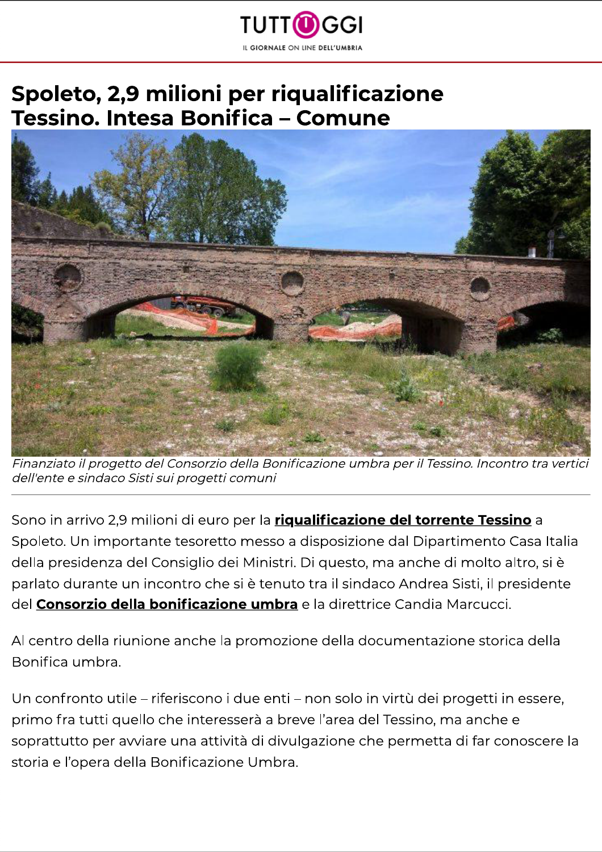

## Spoleto, 2,9 milioni per riqualificazione Tessino. Intesa Bonifica - Comune



Finanziato il progetto del Consorzio della Bonificazione umbra per il Tessino. Incontro tra vertici dell'ente e sindaco Sisti sui progetti comuni

Sono in arrivo 2,9 milioni di euro per la *riqualificazione del torrente Tessino* a Spoleto. Un importante tesoretto messo a disposizione dal Dipartimento Casa Italia della presidenza del Consiglio dei Ministri. Di questo, ma anche di molto altro, si è parlato durante un incontro che si è tenuto tra il sindaco Andrea Sisti, il presidente del Consorzio della bonificazione umbra e la direttrice Candia Marcucci.

Al centro della riunione anche la promozione della documentazione storica della Bonifica umbra.

Un confronto utile - riferiscono i due enti - non solo in virtù dei progetti in essere, primo fra tutti quello che interesserà a breve l'area del Tessino, ma anche e soprattutto per avviare una attività di divulgazione che permetta di far conoscere la storia e l'opera della Bonificazione Umbra.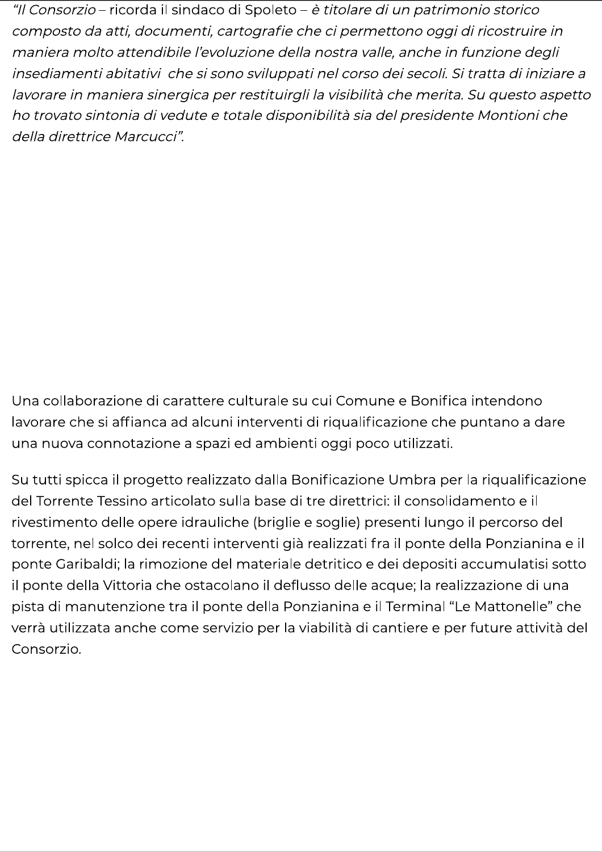"Il Consorzio - ricorda il sindaco di Spoleto - è titolare di un patrimonio storico composto da atti, documenti, cartografie che ci permettono oggi di ricostruire in maniera molto attendibile l'evoluzione della nostra valle, anche in funzione degli insediamenti abitativi che si sono sviluppati nel corso dei secoli. Si tratta di iniziare a lavorare in maniera sinergica per restituirgli la visibilità che merita. Su questo aspetto ho trovato sintonia di vedute e totale disponibilità sia del presidente Montioni che della direttrice Marcucci".

Una collaborazione di carattere culturale su cui Comune e Bonifica intendono lavorare che si affianca ad alcuni interventi di riqualificazione che puntano a dare una nuova connotazione a spazi ed ambienti oggi poco utilizzati.

Su tutti spicca il progetto realizzato dalla Bonificazione Umbra per la riqualificazione del Torrente Tessino articolato sulla base di tre direttrici: il consolidamento e il rivestimento delle opere idrauliche (briglie e soglie) presenti lungo il percorso del torrente, nel solco dei recenti interventi già realizzati fra il ponte della Ponzianina e il ponte Garibaldi; la rimozione del materiale detritico e dei depositi accumulatisi sotto il ponte della Vittoria che ostacolano il deflusso delle acque; la realizzazione di una pista di manutenzione tra il ponte della Ponzianina e il Terminal "Le Mattonelle" che verrà utilizzata anche come servizio per la viabilità di cantiere e per future attività del Consorzio.